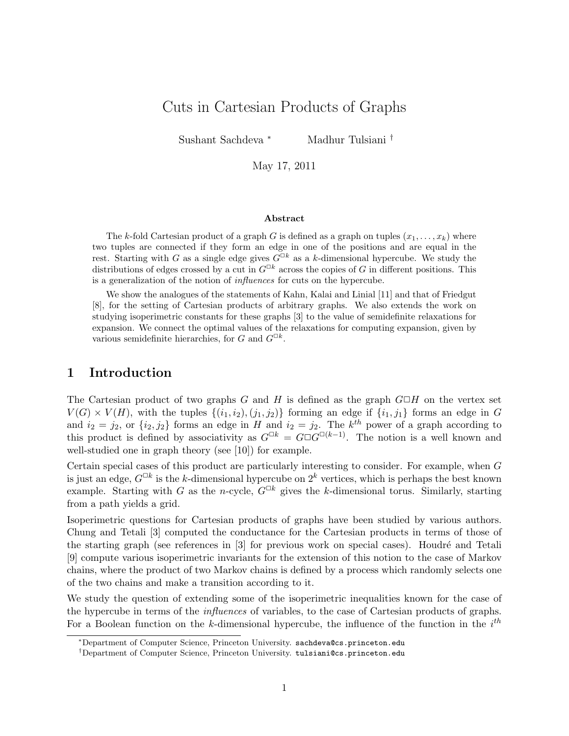# Cuts in Cartesian Products of Graphs

Sushant Sachdeva <sup>∗</sup> Madhur Tulsiani †

May 17, 2011

#### Abstract

The k-fold Cartesian product of a graph G is defined as a graph on tuples  $(x_1, \ldots, x_k)$  where two tuples are connected if they form an edge in one of the positions and are equal in the rest. Starting with G as a single edge gives  $\tilde{G}^{\Box k}$  as a k-dimensional hypercube. We study the distributions of edges crossed by a cut in  $G^{\Box k}$  across the copies of G in different positions. This is a generalization of the notion of influences for cuts on the hypercube.

We show the analogues of the statements of Kahn, Kalai and Linial [11] and that of Friedgut [8], for the setting of Cartesian products of arbitrary graphs. We also extends the work on studying isoperimetric constants for these graphs [3] to the value of semidefinite relaxations for expansion. We connect the optimal values of the relaxations for computing expansion, given by various semidefinite hierarchies, for G and  $G^{\Box k}$ .

## 1 Introduction

The Cartesian product of two graphs G and H is defined as the graph  $G \Box H$  on the vertex set  $V(G) \times V(H)$ , with the tuples  $\{(i_1, i_2), (j_1, j_2)\}$  forming an edge if  $\{i_1, j_1\}$  forms an edge in G and  $i_2 = j_2$ , or  $\{i_2, j_2\}$  forms an edge in H and  $i_2 = j_2$ . The  $k^{th}$  power of a graph according to this product is defined by associativity as  $G^{\Box k} = G \Box G^{\Box (k-1)}$ . The notion is a well known and well-studied one in graph theory (see [10]) for example.

Certain special cases of this product are particularly interesting to consider. For example, when G is just an edge,  $G^{\Box k}$  is the k-dimensional hypercube on  $2^k$  vertices, which is perhaps the best known example. Starting with G as the n-cycle,  $G^{\Box k}$  gives the k-dimensional torus. Similarly, starting from a path yields a grid.

Isoperimetric questions for Cartesian products of graphs have been studied by various authors. Chung and Tetali [3] computed the conductance for the Cartesian products in terms of those of the starting graph (see references in  $\lceil 3 \rceil$  for previous work on special cases). Houdré and Tetali [9] compute various isoperimetric invariants for the extension of this notion to the case of Markov chains, where the product of two Markov chains is defined by a process which randomly selects one of the two chains and make a transition according to it.

We study the question of extending some of the isoperimetric inequalities known for the case of the hypercube in terms of the influences of variables, to the case of Cartesian products of graphs. For a Boolean function on the k-dimensional hypercube, the influence of the function in the  $i^{th}$ 

<sup>∗</sup>Department of Computer Science, Princeton University. sachdeva@cs.princeton.edu

<sup>†</sup>Department of Computer Science, Princeton University. tulsiani@cs.princeton.edu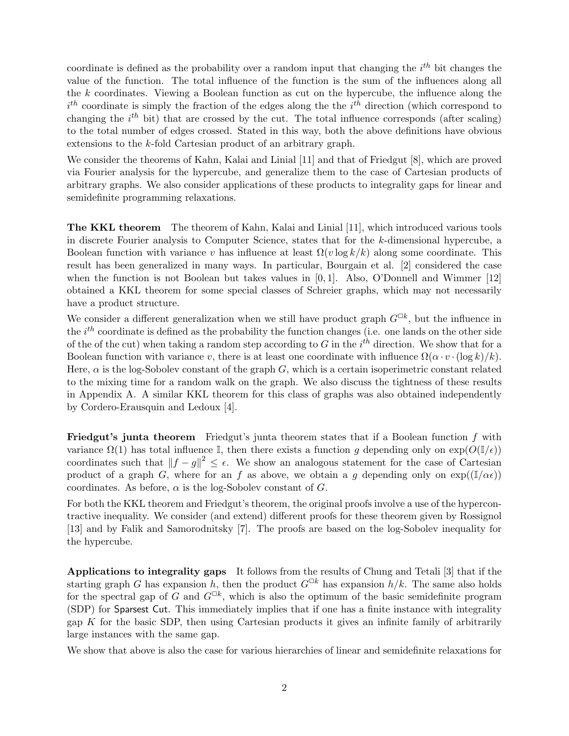coordinate is defined as the probability over a random input that changing the  $i^{th}$  bit changes the value of the function. The total influence of the function is the sum of the influences along all the k coordinates. Viewing a Boolean function as cut on the hypercube, the influence along the  $i<sup>th</sup>$  coordinate is simply the fraction of the edges along the the  $i<sup>th</sup>$  direction (which correspond to changing the  $i^{th}$  bit) that are crossed by the cut. The total influence corresponds (after scaling) to the total number of edges crossed. Stated in this way, both the above definitions have obvious extensions to the k-fold Cartesian product of an arbitrary graph.

We consider the theorems of Kahn, Kalai and Linial [11] and that of Friedgut [8], which are proved via Fourier analysis for the hypercube, and generalize them to the case of Cartesian products of arbitrary graphs. We also consider applications of these products to integrality gaps for linear and semidefinite programming relaxations.

The KKL theorem The theorem of Kahn, Kalai and Linial [11], which introduced various tools in discrete Fourier analysis to Computer Science, states that for the k-dimensional hypercube, a Boolean function with variance v has influence at least  $\Omega(v \log k/k)$  along some coordinate. This result has been generalized in many ways. In particular, Bourgain et al. [2] considered the case when the function is not Boolean but takes values in  $[0, 1]$ . Also, O'Donnell and Wimmer  $[12]$ obtained a KKL theorem for some special classes of Schreier graphs, which may not necessarily have a product structure.

We consider a different generalization when we still have product graph  $G^{\Box k}$ , but the influence in the  $i^{th}$  coordinate is defined as the probability the function changes (i.e. one lands on the other side of the of the cut) when taking a random step according to G in the  $i^{th}$  direction. We show that for a Boolean function with variance v, there is at least one coordinate with influence  $\Omega(\alpha \cdot v \cdot (\log k)/k)$ . Here,  $\alpha$  is the log-Sobolev constant of the graph G, which is a certain isoperimetric constant related to the mixing time for a random walk on the graph. We also discuss the tightness of these results in Appendix A. A similar KKL theorem for this class of graphs was also obtained independently by Cordero-Erausquin and Ledoux [4].

Friedgut's junta theorem Friedgut's junta theorem states that if a Boolean function f with variance  $\Omega(1)$  has total influence I, then there exists a function g depending only on  $\exp(O(\mathbb{I}/\epsilon))$ coordinates such that  $||f - g||^2 \leq \epsilon$ . We show an analogous statement for the case of Cartesian product of a graph G, where for an f as above, we obtain a g depending only on  $\exp((\mathbb{I}/\alpha \epsilon))$ coordinates. As before,  $\alpha$  is the log-Sobolev constant of G.

For both the KKL theorem and Friedgut's theorem, the original proofs involve a use of the hypercontractive inequality. We consider (and extend) different proofs for these theorem given by Rossignol [13] and by Falik and Samorodnitsky [7]. The proofs are based on the log-Sobolev inequality for the hypercube.

Applications to integrality gaps It follows from the results of Chung and Tetali [3] that if the starting graph G has expansion h, then the product  $G^{\Box k}$  has expansion  $h/k$ . The same also holds for the spectral gap of G and  $G^{\Box k}$ , which is also the optimum of the basic semidefinite program (SDP) for Sparsest Cut. This immediately implies that if one has a finite instance with integrality gap  $K$  for the basic SDP, then using Cartesian products it gives an infinite family of arbitrarily large instances with the same gap.

We show that above is also the case for various hierarchies of linear and semidefinite relaxations for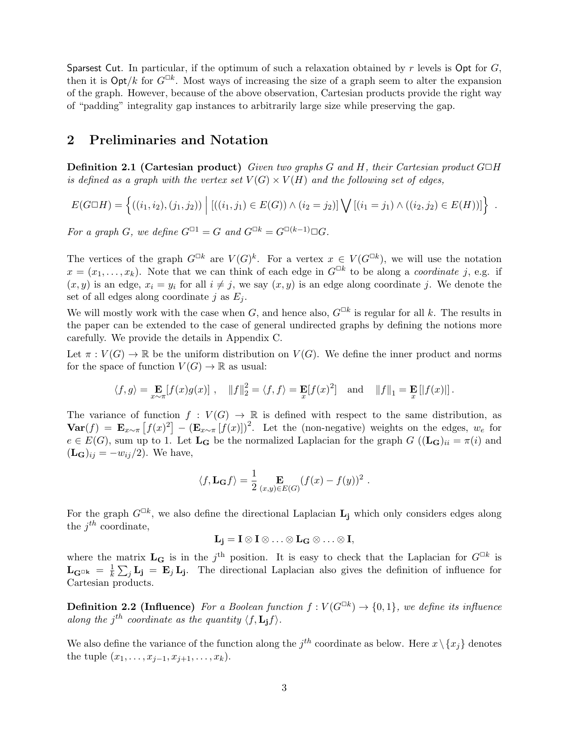Sparsest Cut. In particular, if the optimum of such a relaxation obtained by r levels is Opt for  $G$ , then it is  $\mathsf{Opt}/k$  for  $G^{\Box k}$ . Most ways of increasing the size of a graph seem to alter the expansion of the graph. However, because of the above observation, Cartesian products provide the right way of "padding" integrality gap instances to arbitrarily large size while preserving the gap.

### 2 Preliminaries and Notation

**Definition 2.1 (Cartesian product)** Given two graphs G and H, their Cartesian product  $G \Box H$ is defined as a graph with the vertex set  $V(G) \times V(H)$  and the following set of edges,

$$
E(G \square H) = \left\{ ((i_1, i_2), (j_1, j_2)) \middle| ((i_1, j_1) \in E(G)) \land (i_2 = j_2) \right\} \bigvee \left[ (i_1 = j_1) \land ((i_2, j_2) \in E(H)) \right] \right\}.
$$

For a graph G, we define  $G^{\Box 1} = G$  and  $G^{\Box k} = G^{\Box (k-1)} \Box G$ .

The vertices of the graph  $G^{\Box k}$  are  $V(G)^k$ . For a vertex  $x \in V(G^{\Box k})$ , we will use the notation  $x = (x_1, \ldots, x_k)$ . Note that we can think of each edge in  $G^{\Box k}$  to be along a *coordinate* j, e.g. if  $(x, y)$  is an edge,  $x_i = y_i$  for all  $i \neq j$ , we say  $(x, y)$  is an edge along coordinate j. We denote the set of all edges along coordinate j as  $E_j$ .

We will mostly work with the case when G, and hence also,  $G^{\Box k}$  is regular for all k. The results in the paper can be extended to the case of general undirected graphs by defining the notions more carefully. We provide the details in Appendix C.

Let  $\pi: V(G) \to \mathbb{R}$  be the uniform distribution on  $V(G)$ . We define the inner product and norms for the space of function  $V(G) \to \mathbb{R}$  as usual:

$$
\langle f, g \rangle = \mathop{\mathbb{E}}_{x \sim \pi} [f(x)g(x)]
$$
,  $||f||_2^2 = \langle f, f \rangle = \mathop{\mathbb{E}}_x [f(x)^2]$  and  $||f||_1 = \mathop{\mathbb{E}}_x [f(x)||]$ .

The variance of function  $f: V(G) \to \mathbb{R}$  is defined with respect to the same distribution, as  $\textbf{Var}(f) = \mathbf{E}_{x \sim \pi} [f(x)]^2 - (\mathbf{E}_{x \sim \pi} [f(x)])^2$ . Let the (non-negative) weights on the edges,  $w_e$  for  $e \in E(G)$ , sum up to 1. Let  $\mathbf{L}_{\mathbf{G}}$  be the normalized Laplacian for the graph  $G((\mathbf{L}_{\mathbf{G}})_{ii} = \pi(i)$  and  $(L_{\mathbf{G}})_{ij} = -w_{ij}/2$ . We have,

$$
\langle f, \mathbf{L}_{\mathbf{G}} f \rangle = \frac{1}{2} \mathop{\mathbf{E}}_{(x,y) \in E(G)} (f(x) - f(y))^2.
$$

For the graph  $G^{\Box k}$ , we also define the directional Laplacian  $L_j$  which only considers edges along the  $j^{th}$  coordinate,

$$
\mathbf{L_j} = \mathbf{I} \otimes \mathbf{I} \otimes \ldots \otimes \mathbf{L_G} \otimes \ldots \otimes \mathbf{I},
$$

where the matrix  $L_G$  is in the j<sup>th</sup> position. It is easy to check that the Laplacian for  $G^{\Box k}$  is  $\mathbf{L}_{\mathbf{G}^{\Box \mathbf{k}}}~=~\frac{1}{k}$  $\frac{1}{k}\sum_j \mathbf{L_j} = \mathbf{E}_j \mathbf{L_j}$ . The directional Laplacian also gives the definition of influence for Cartesian products.

**Definition 2.2 (Influence)** For a Boolean function  $f: V(G^{\Box k}) \to \{0,1\}$ , we define its influence along the j<sup>th</sup> coordinate as the quantity  $\langle f, L_j f \rangle$ .

We also define the variance of the function along the  $j^{th}$  coordinate as below. Here  $x \setminus \{x_j\}$  denotes the tuple  $(x_1, \ldots, x_{j-1}, x_{j+1}, \ldots, x_k)$ .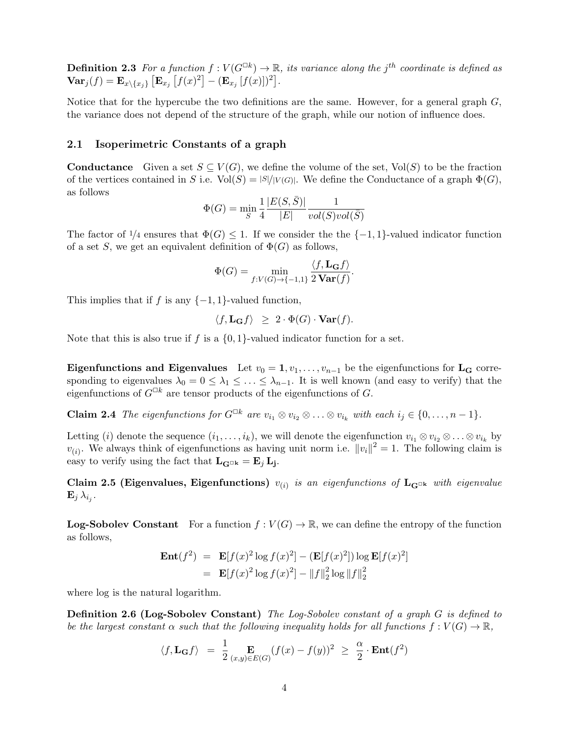**Definition 2.3** For a function  $f: V(G^{\square k}) \to \mathbb{R}$ , its variance along the j<sup>th</sup> coordinate is defined as  $\textbf{Var}_j(f) = \textbf{E}_{x \setminus \{x_j\}} \left[ \textbf{E}_{x_j} \left[ f(x)^2 \right] - (\textbf{E}_{x_j} \left[ f(x) \right])^2 \right].$ 

Notice that for the hypercube the two definitions are the same. However, for a general graph  $G$ , the variance does not depend of the structure of the graph, while our notion of influence does.

### 2.1 Isoperimetric Constants of a graph

**Conductance** Given a set  $S \subseteq V(G)$ , we define the volume of the set, Vol(S) to be the fraction of the vertices contained in S i.e.  $Vol(S) = |S|/|V(G)|$ . We define the Conductance of a graph  $\Phi(G)$ , as follows

$$
\Phi(G) = \min_{S} \frac{1}{4} \frac{|E(S,\bar{S})|}{|E|} \frac{1}{vol(S)vol(\bar{S})}
$$

The factor of  $\frac{1}{4}$  ensures that  $\Phi(G) \leq 1$ . If we consider the  $\{-1, 1\}$ -valued indicator function of a set S, we get an equivalent definition of  $\Phi(G)$  as follows,

$$
\Phi(G) = \min_{f: V(G) \to \{-1, 1\}} \frac{\langle f, \mathbf{L}_{\mathbf{G}} f \rangle}{2 \mathbf{Var}(f)}.
$$

This implies that if f is any  $\{-1, 1\}$ -valued function,

$$
\langle f, \mathbf{L}_{\mathbf{G}} f \rangle \geq 2 \cdot \Phi(G) \cdot \mathbf{Var}(f).
$$

Note that this is also true if f is a  $\{0, 1\}$ -valued indicator function for a set.

Eigenfunctions and Eigenvalues Let  $v_0 = 1, v_1, \ldots, v_{n-1}$  be the eigenfunctions for L<sub>G</sub> corresponding to eigenvalues  $\lambda_0 = 0 \leq \lambda_1 \leq \ldots \leq \lambda_{n-1}$ . It is well known (and easy to verify) that the eigenfunctions of  $G^{\Box k}$  are tensor products of the eigenfunctions of G.

**Claim 2.4** The eigenfunctions for  $G^{\Box k}$  are  $v_{i_1} \otimes v_{i_2} \otimes \ldots \otimes v_{i_k}$  with each  $i_j \in \{0, \ldots, n-1\}$ .

Letting (i) denote the sequence  $(i_1, \ldots, i_k)$ , we will denote the eigenfunction  $v_{i_1} \otimes v_{i_2} \otimes \ldots \otimes v_{i_k}$  by  $v_{(i)}$ . We always think of eigenfunctions as having unit norm i.e.  $||v_i||^2 = 1$ . The following claim is easy to verify using the fact that  $\mathbf{L}_{\mathbf{G}^{\Box k}} = \mathbf{E}_j \mathbf{L}_j$ .

Claim 2.5 (Eigenvalues, Eigenfunctions)  $v_{(i)}$  is an eigenfunctions of  $L_{G^{\Box k}}$  with eigenvalue  $\mathbf{E}_j \, \lambda_{i_j}.$ 

**Log-Sobolev Constant** For a function  $f: V(G) \to \mathbb{R}$ , we can define the entropy of the function as follows,

$$
\mathbf{Ent}(f^2) = \mathbf{E}[f(x)^2 \log f(x)^2] - (\mathbf{E}[f(x)^2]) \log \mathbf{E}[f(x)^2]
$$
  
=  $\mathbf{E}[f(x)^2 \log f(x)^2] - ||f||_2^2 \log ||f||_2^2$ 

where log is the natural logarithm.

Definition 2.6 (Log-Sobolev Constant) The Log-Sobolev constant of a graph G is defined to be the largest constant  $\alpha$  such that the following inequality holds for all functions  $f: V(G) \to \mathbb{R}$ ,

$$
\langle f, \mathbf{L}_{\mathbf{G}} f \rangle = \frac{1}{2} \mathop{\mathbf{E}}_{(x,y) \in E(G)} (f(x) - f(y))^2 \geq \frac{\alpha}{2} \cdot \mathbf{Ent}(f^2)
$$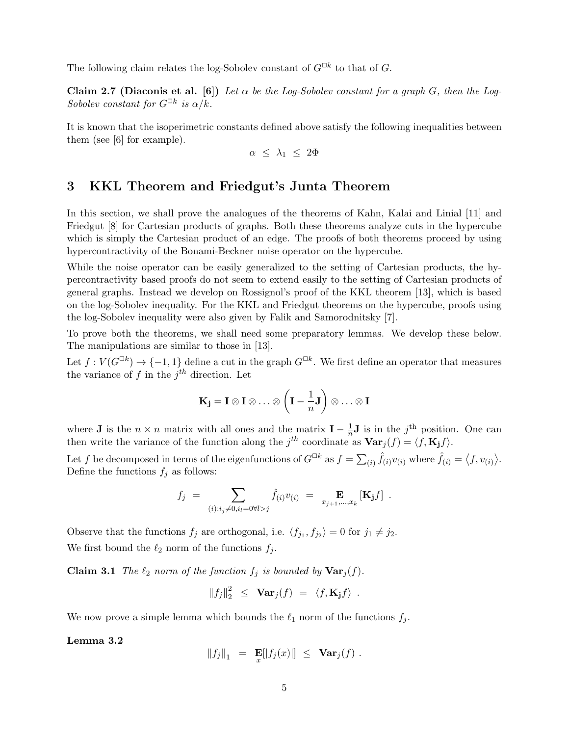The following claim relates the log-Sobolev constant of  $G^{\Box k}$  to that of G.

Claim 2.7 (Diaconis et al. [6]) Let  $\alpha$  be the Log-Sobolev constant for a graph G, then the Log-Sobolev constant for  $G^{\Box k}$  is  $\alpha/k$ .

It is known that the isoperimetric constants defined above satisfy the following inequalities between them (see [6] for example).

$$
\alpha \leq \lambda_1 \leq 2\Phi
$$

### 3 KKL Theorem and Friedgut's Junta Theorem

In this section, we shall prove the analogues of the theorems of Kahn, Kalai and Linial [11] and Friedgut [8] for Cartesian products of graphs. Both these theorems analyze cuts in the hypercube which is simply the Cartesian product of an edge. The proofs of both theorems proceed by using hypercontractivity of the Bonami-Beckner noise operator on the hypercube.

While the noise operator can be easily generalized to the setting of Cartesian products, the hypercontractivity based proofs do not seem to extend easily to the setting of Cartesian products of general graphs. Instead we develop on Rossignol's proof of the KKL theorem [13], which is based on the log-Sobolev inequality. For the KKL and Friedgut theorems on the hypercube, proofs using the log-Sobolev inequality were also given by Falik and Samorodnitsky [7].

To prove both the theorems, we shall need some preparatory lemmas. We develop these below. The manipulations are similar to those in [13].

Let  $f: V(G^{\Box k}) \to \{-1,1\}$  define a cut in the graph  $G^{\Box k}$ . We first define an operator that measures the variance of f in the  $j<sup>th</sup>$  direction. Let

$$
\mathbf{K}_{\mathbf{j}} = \mathbf{I} \otimes \mathbf{I} \otimes \ldots \otimes \left(\mathbf{I} - \frac{1}{n}\mathbf{J}\right) \otimes \ldots \otimes \mathbf{I}
$$

where **J** is the  $n \times n$  matrix with all ones and the matrix  $I - \frac{1}{n}$  $\frac{1}{n}$ **J** is in the j<sup>th</sup> position. One can then write the variance of the function along the j<sup>th</sup> coordinate as  $\text{Var}_j(f) = \langle f, \mathbf{K_j} f \rangle$ .

Let f be decomposed in terms of the eigenfunctions of  $G^{\Box k}$  as  $f = \sum_{(i)} \hat{f}_{(i)}v_{(i)}$  where  $\hat{f}_{(i)} = \langle f, v_{(i)} \rangle$ . Define the functions  $f_i$  as follows:

$$
f_j = \sum_{(i): i_j \neq 0, i_l = 0 \forall l > j} \hat{f}_{(i)} v_{(i)} = \mathbf{E}_{x_{j+1},...,x_k} [\mathbf{K}_j f] .
$$

Observe that the functions  $f_j$  are orthogonal, i.e.  $\langle f_{j_1}, f_{j_2} \rangle = 0$  for  $j_1 \neq j_2$ . We first bound the  $\ell_2$  norm of the functions  $f_i$ .

**Claim 3.1** The  $\ell_2$  norm of the function  $f_j$  is bounded by  $\text{Var}_j(f)$ .

$$
||f_j||_2^2 \leq \operatorname{Var}_j(f) = \langle f, \mathbf{K_j} f \rangle.
$$

We now prove a simple lemma which bounds the  $\ell_1$  norm of the functions  $f_j$ .

#### Lemma 3.2

$$
||f_j||_1 = \mathbf{E}[|f_j(x)|] \leq \mathbf{Var}_j(f) .
$$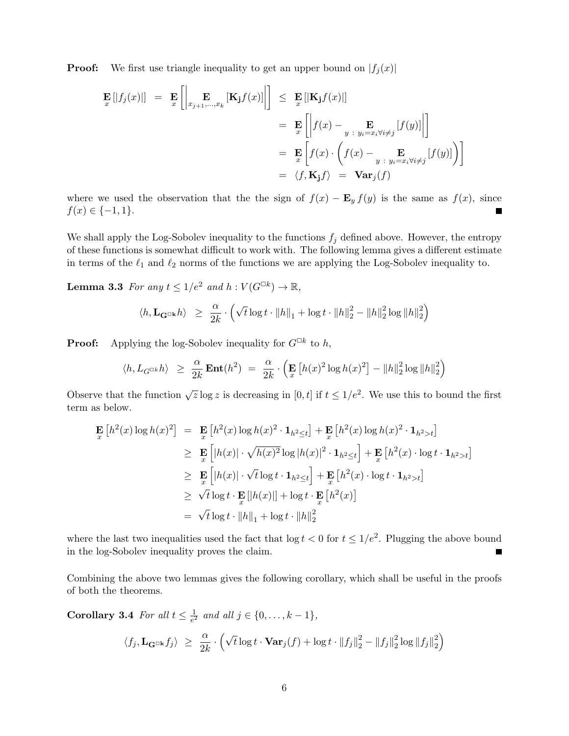**Proof:** We first use triangle inequality to get an upper bound on  $|f_j(x)|$ 

$$
\mathbf{E} [f_j(x)] = \mathbf{E} \left[ \left| \mathbf{E} \mathbf{E}_{j+1,\dots,x_k} \left[ \mathbf{K}_j f(x) \right] \right| \right] \leq \mathbf{E} [|\mathbf{K}_j f(x)|]
$$
\n
$$
= \mathbf{E} \left[ \left| f(x) - \mathbf{E}_{y \in x_i \forall i \neq j} \left[ f(y) \right] \right| \right]
$$
\n
$$
= \mathbf{E} \left[ f(x) \cdot \left( f(x) - \mathbf{E}_{y \in x_i \forall i \neq j} \left[ f(y) \right] \right) \right]
$$
\n
$$
= \langle f, \mathbf{K}_j f \rangle = \mathbf{Var}_j(f)
$$

where we used the observation that the the sign of  $f(x) - \mathbf{E}_y f(y)$  is the same as  $f(x)$ , since  $f(x) \in \{-1, 1\}.$ 

We shall apply the Log-Sobolev inequality to the functions  $f_j$  defined above. However, the entropy of these functions is somewhat difficult to work with. The following lemma gives a different estimate in terms of the  $\ell_1$  and  $\ell_2$  norms of the functions we are applying the Log-Sobolev inequality to.

**Lemma 3.3** For any  $t \leq 1/e^2$  and  $h: V(G^{\Box k}) \to \mathbb{R}$ ,

$$
\langle h, \mathbf{L}_{\mathbf{G}^{\square \mathbf{k}}} h \rangle \geq \frac{\alpha}{2k} \cdot \left( \sqrt{t} \log t \cdot \|h\|_1 + \log t \cdot \|h\|_2^2 - \|h\|_2^2 \log \|h\|_2^2 \right)
$$

**Proof:** Applying the log-Sobolev inequality for  $G^{\Box k}$  to h,

$$
\langle h, L_{G^{\Box k}}h \rangle \geq \frac{\alpha}{2k} \operatorname{Ent}(h^2) = \frac{\alpha}{2k} \cdot \left( \operatorname{E}_{x} \left[ h(x)^2 \log h(x)^2 \right] - \|h\|_2^2 \log \|h\|_2^2 \right)
$$

Observe that the function  $\sqrt{z} \log z$  is decreasing in [0, t] if  $t \leq 1/e^2$ . We use this to bound the first term as below.

$$
\mathbf{E}_{x} [h^{2}(x) \log h(x)^{2}] = \mathbf{E}_{x} [h^{2}(x) \log h(x)^{2} \cdot \mathbf{1}_{h^{2} \leq t}] + \mathbf{E}_{x} [h^{2}(x) \log h(x)^{2} \cdot \mathbf{1}_{h^{2} > t}]
$$
\n
$$
\geq \mathbf{E}_{x} [|h(x)| \cdot \sqrt{h(x)^{2}} \log |h(x)|^{2} \cdot \mathbf{1}_{h^{2} \leq t}] + \mathbf{E}_{x} [h^{2}(x) \cdot \log t \cdot \mathbf{1}_{h^{2} > t}]
$$
\n
$$
\geq \mathbf{E}_{x} [|h(x)| \cdot \sqrt{t} \log t \cdot \mathbf{1}_{h^{2} \leq t}] + \mathbf{E}_{x} [h^{2}(x) \cdot \log t \cdot \mathbf{1}_{h^{2} > t}]
$$
\n
$$
\geq \sqrt{t} \log t \cdot \mathbf{E}_{x} [|h(x)|] + \log t \cdot \mathbf{E}_{x} [h^{2}(x)]
$$
\n
$$
= \sqrt{t} \log t \cdot ||h||_{1} + \log t \cdot ||h||_{2}^{2}
$$

where the last two inequalities used the fact that  $\log t < 0$  for  $t \leq 1/e^2$ . Plugging the above bound in the log-Sobolev inequality proves the claim.

Combining the above two lemmas gives the following corollary, which shall be useful in the proofs of both the theorems.

Corollary 3.4 For all  $t \leq \frac{1}{\epsilon^2}$  $\frac{1}{e^2}$  and all  $j \in \{0, ..., k-1\},$ 

$$
\langle f_j, \mathbf{L}_{\mathbf{G}^{\Box k}} f_j \rangle \ \geq \ \frac{\alpha}{2k} \cdot \left( \sqrt{t} \log t \cdot \mathbf{Var}_j(f) + \log t \cdot ||f_j||_2^2 - ||f_j||_2^2 \log ||f_j||_2^2 \right)
$$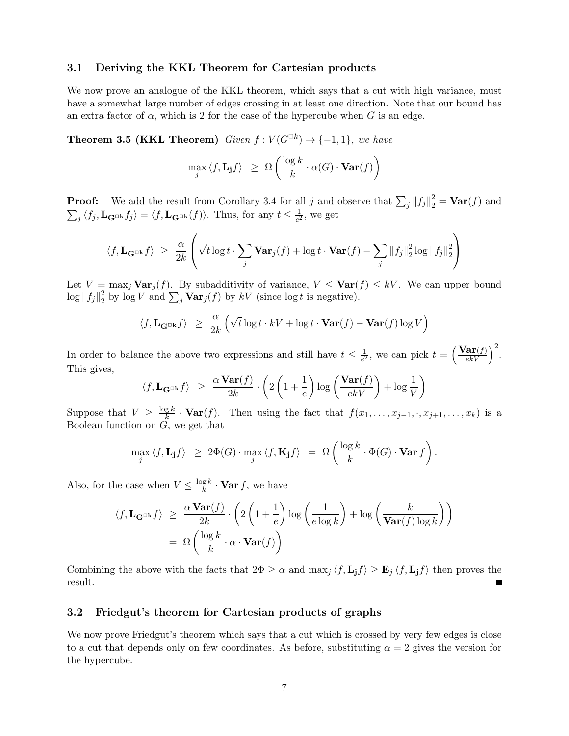#### 3.1 Deriving the KKL Theorem for Cartesian products

We now prove an analogue of the KKL theorem, which says that a cut with high variance, must have a somewhat large number of edges crossing in at least one direction. Note that our bound has an extra factor of  $\alpha$ , which is 2 for the case of the hypercube when G is an edge.

**Theorem 3.5 (KKL Theorem)** Given  $f: V(G^{\Box k}) \rightarrow \{-1,1\}$ , we have

$$
\max_{j} \langle f, \mathbf{L}_{\mathbf{j}} f \rangle \geq \Omega \left( \frac{\log k}{k} \cdot \alpha(G) \cdot \mathbf{Var}(f) \right)
$$

**Proof:** We add the result from Corollary 3.4 for all j and observe that  $\sum_j ||f_j||_2^2 = \text{Var}(f)$  and  $\sum_j \langle f_j, \mathbf{L}_{\mathbf{G}^{\Box k}} f_j \rangle = \langle f, \mathbf{L}_{\mathbf{G}^{\Box k}} (f) \rangle$ . Thus, for any  $t \leq \frac{1}{e^2}$  $\frac{1}{e^2}$ , we get

$$
\langle f, \mathbf{L}_{\mathbf{G}^{\Box \mathbf{k}}} f \rangle \ \geq \ \frac{\alpha}{2k} \left( \sqrt{t} \log t \cdot \sum_j \mathbf{Var}_j(f) + \log t \cdot \mathbf{Var}(f) - \sum_j \|f_j\|_2^2 \log \|f_j\|_2^2 \right)
$$

Let  $V = \max_j \text{Var}_j(f)$ . By subadditivity of variance,  $V \leq \text{Var}(f) \leq kV$ . We can upper bound  $\log\|f_j\|_2^2$  $\frac{2}{2}$  by log V and  $\sum_j \mathbf{Var}_j(f)$  by  $kV$  (since log t is negative).

$$
\langle f, \mathbf{L}_{\mathbf{G}^{\Box \mathbf{k}}} f \rangle \ \geq \ \frac{\alpha}{2k} \left( \sqrt{t} \log t \cdot kV + \log t \cdot \mathbf{Var}(f) - \mathbf{Var}(f) \log V \right)
$$

In order to balance the above two expressions and still have  $t \leq \frac{1}{\epsilon^2}$  $\frac{1}{e^2}$ , we can pick  $t = \left(\frac{\text{Var}(f)}{ekV}\right)^2$ . This gives,

$$
\langle f, \mathbf{L}_{\mathbf{G}^{\Box k}} f \rangle \ge \frac{\alpha \mathbf{Var}(f)}{2k} \cdot \left( 2 \left( 1 + \frac{1}{e} \right) \log \left( \frac{\mathbf{Var}(f)}{ekV} \right) + \log \frac{1}{V} \right)
$$

Suppose that  $V \geq \frac{\log k}{k}$  $\frac{g}{k}$  · **Var**(f). Then using the fact that  $f(x_1, \ldots, x_{j-1}, \ldots, x_{j+1}, \ldots, x_k)$  is a Boolean function on  $G$ , we get that

$$
\max_{j} \langle f, \mathbf{L}_{\mathbf{j}} f \rangle \geq 2\Phi(G) \cdot \max_{j} \langle f, \mathbf{K}_{\mathbf{j}} f \rangle = \Omega\left(\frac{\log k}{k} \cdot \Phi(G) \cdot \mathbf{Var} f\right).
$$

Also, for the case when  $V \leq \frac{\log k}{k}$  $\frac{g}{k}$  · **Var**  $f$ , we have

$$
\langle f, \mathbf{L}_{\mathbf{G}^{\Box k}} f \rangle \geq \frac{\alpha \mathbf{Var}(f)}{2k} \cdot \left( 2 \left( 1 + \frac{1}{e} \right) \log \left( \frac{1}{e \log k} \right) + \log \left( \frac{k}{\mathbf{Var}(f) \log k} \right) \right)
$$

$$
= \Omega \left( \frac{\log k}{k} \cdot \alpha \cdot \mathbf{Var}(f) \right)
$$

Combining the above with the facts that  $2\Phi \geq \alpha$  and  $\max_j \langle f, L_j f \rangle \geq E_j \langle f, L_j f \rangle$  then proves the result.

### 3.2 Friedgut's theorem for Cartesian products of graphs

We now prove Friedgut's theorem which says that a cut which is crossed by very few edges is close to a cut that depends only on few coordinates. As before, substituting  $\alpha = 2$  gives the version for the hypercube.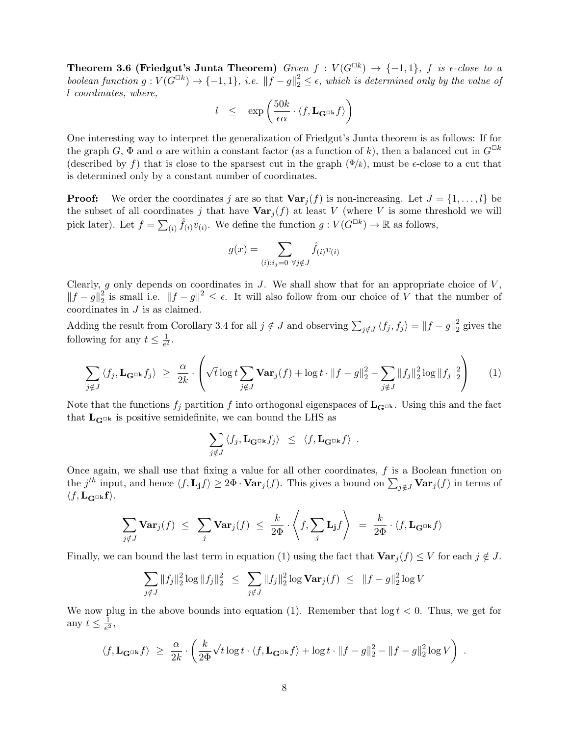Theorem 3.6 (Friedgut's Junta Theorem) Given  $f: V(G^{\Box k}) \rightarrow \{-1,1\}$ , f is  $\epsilon$ -close to a boolean function  $g: V(G^{\Box k}) \to \{-1,1\}$ , i.e.  $||f-g||_2^2 \leq \epsilon$ , which is determined only by the value of l coordinates, where,

$$
l \leq \exp\left(\frac{50k}{\epsilon\alpha}\cdot\langle f,\mathbf{L}_{\mathbf{G}^{\Box\mathbf{k}}}f\rangle\right)
$$

One interesting way to interpret the generalization of Friedgut's Junta theorem is as follows: If for the graph G,  $\Phi$  and  $\alpha$  are within a constant factor (as a function of k), then a balanced cut in  $G^{\Box k}$ (described by f) that is close to the sparsest cut in the graph  $(\Phi/k)$ , must be  $\epsilon$ -close to a cut that is determined only by a constant number of coordinates.

**Proof:** We order the coordinates j are so that  $\text{Var}_j(f)$  is non-increasing. Let  $J = \{1, \ldots, l\}$  be the subset of all coordinates j that have  $\text{Var}_j(f)$  at least V (where V is some threshold we will pick later). Let  $f = \sum_{(i)} \hat{f}_{(i)}v_{(i)}$ . We define the function  $g: V(G^{\Box k}) \to \mathbb{R}$  as follows,

$$
g(x) = \sum_{(i): i_j = 0 \ \forall j \notin J} \hat{f}_{(i)} v_{(i)}
$$

Clearly, g only depends on coordinates in  $J$ . We shall show that for an appropriate choice of  $V$ ,  $||f - g||_2^2$ <sup>2</sup>/<sub>2</sub> is small i.e.  $||f - g||^2$  ≤  $\epsilon$ . It will also follow from our choice of V that the number of coordinates in J is as claimed.

Adding the result from Corollary 3.4 for all  $j \notin J$  and observing  $\sum_{j \notin J} \langle f_j, f_j \rangle = ||f - g||_2^2$  $\frac{2}{2}$  gives the following for any  $t \leq \frac{1}{e^2}$  $\frac{1}{e^2}$ .

$$
\sum_{j \notin J} \langle f_j, \mathbf{L}_{\mathbf{G}^{\Box k}} f_j \rangle \geq \frac{\alpha}{2k} \cdot \left( \sqrt{t} \log t \sum_{j \notin J} \mathbf{Var}_j(f) + \log t \cdot ||f - g||_2^2 - \sum_{j \notin J} ||f_j||_2^2 \log ||f_j||_2^2 \right) \tag{1}
$$

Note that the functions  $f_i$  partition f into orthogonal eigenspaces of  $\mathbf{L}_{\mathbf{G}^{\square k}}$ . Using this and the fact that  $\mathbf{L}_{\mathbf{G}^{\Box k}}$  is positive semidefinite, we can bound the LHS as

$$
\sum_{j \notin J} \langle f_j, \mathbf{L}_{\mathbf{G}^{\Box k}} f_j \rangle \leq \langle f, \mathbf{L}_{\mathbf{G}^{\Box k}} f \rangle.
$$

Once again, we shall use that fixing a value for all other coordinates,  $f$  is a Boolean function on the j<sup>th</sup> input, and hence  $\langle f, L_j f \rangle \geq 2\Phi \cdot \textbf{Var}_j(f)$ . This gives a bound on  $\sum_{j \notin J} \textbf{Var}_j(f)$  in terms of  $\langle f, \mathbf{L}_{\mathbf{G}^{\Box}\mathbf{k}} \mathbf{f} \rangle.$ 

$$
\sum_{j \notin J} \mathbf{Var}_j(f) \leq \sum_j \mathbf{Var}_j(f) \leq \frac{k}{2\Phi} \cdot \left\langle f, \sum_j \mathbf{L}_j f \right\rangle = \frac{k}{2\Phi} \cdot \left\langle f, \mathbf{L}_{\mathbf{G}^{\Box k}} f \right\rangle
$$

Finally, we can bound the last term in equation (1) using the fact that  $\text{Var}_i(f) \leq V$  for each  $j \notin J$ .

$$
\sum_{j \notin J} ||f_j||_2^2 \log ||f_j||_2^2 \leq \sum_{j \notin J} ||f_j||_2^2 \log \mathbf{Var}_j(f) \leq ||f - g||_2^2 \log V
$$

We now plug in the above bounds into equation (1). Remember that  $\log t < 0$ . Thus, we get for any  $t \leq \frac{1}{e^2}$  $\frac{1}{e^2}$ ,

$$
\langle f,\mathbf{L}_{\mathbf{G}^{\Box \mathbf{k}}}f\rangle \ \geq\ \frac{\alpha}{2k}\cdot\left(\frac{k}{2\Phi}\sqrt{t}\log t\cdot\langle f,\mathbf{L}_{\mathbf{G}^{\Box \mathbf{k}}}f\rangle+\log t\cdot\|f-g\|_2^2-\|f-g\|_2^2\log V\right)\ .
$$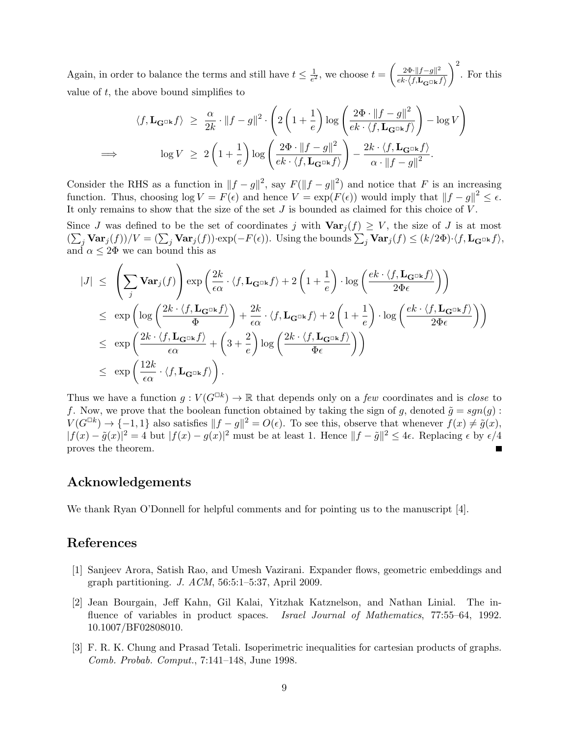Again, in order to balance the terms and still have  $t \leq \frac{1}{\epsilon^2}$  $\frac{1}{e^2}$ , we choose  $t = \left(\frac{2\Phi \cdot ||f-g||^2}{ek \cdot \langle f, \mathbf{L}_{\alpha} \cap \mathbf{k} \rangle} \right)$  ${ek}{\cdot}\big\langle f,\mathbf{L}_{\mathbf{G}^{\square}\mathbf{k}}f\big\rangle$  $\Big)^2$ . For this value of  $t$ , the above bound simplifies to

$$
\langle f, \mathbf{L}_{\mathbf{G}^{\Box \mathbf{k}}} f \rangle \geq \frac{\alpha}{2k} \cdot \|f - g\|^2 \cdot \left( 2\left(1 + \frac{1}{e}\right) \log \left( \frac{2\Phi \cdot \|f - g\|^2}{ek \cdot \langle f, \mathbf{L}_{\mathbf{G}^{\Box \mathbf{k}}} f \rangle} \right) - \log V \right)
$$
  
\n
$$
\implies \qquad \log V \geq 2\left(1 + \frac{1}{e}\right) \log \left( \frac{2\Phi \cdot \|f - g\|^2}{ek \cdot \langle f, \mathbf{L}_{\mathbf{G}^{\Box \mathbf{k}}} f \rangle} \right) - \frac{2k \cdot \langle f, \mathbf{L}_{\mathbf{G}^{\Box \mathbf{k}}} f \rangle}{\alpha \cdot \|f - g\|^2}.
$$

Consider the RHS as a function in  $||f - g||^2$ , say  $F(||f - g||^2)$  and notice that F is an increasing function. Thus, choosing  $\log V = F(\epsilon)$  and hence  $V = \exp(F(\epsilon))$  would imply that  $||f - g||^2 \leq \epsilon$ . It only remains to show that the size of the set  $J$  is bounded as claimed for this choice of  $V$ .

Since J was defined to be the set of coordinates j with  $\text{Var}_j(f) \geq V$ , the size of J is at most  $(\sum_j \mathbf{Var}_j(f))/V = (\sum_j \mathbf{Var}_j(f)) \cdot \exp(-F(\epsilon)).$  Using the bounds  $\sum_j \mathbf{Var}_j(f) \le (k/2\Phi) \cdot \langle f, \mathbf{L}_{\mathbf{G}^{\Box k}} f \rangle$ , and  $\alpha \leq 2\Phi$  we can bound this as

$$
\begin{array}{lcl} |J| & \leq & \displaystyle \left( \sum_j \mathbf{Var}_j(f) \right) \exp \left( \frac{2k}{\epsilon \alpha} \cdot \langle f , \mathbf{L}_{\mathbf{G}^{\square \mathbf{k}}} f \rangle + 2 \left( 1 + \frac{1}{e} \right) \cdot \log \left( \frac{e k \cdot \langle f , \mathbf{L}_{\mathbf{G}^{\square \mathbf{k}}} f \rangle}{2 \Phi \epsilon} \right) \right) \\ & \leq & \exp \left( \log \left( \frac{2k \cdot \langle f , \mathbf{L}_{\mathbf{G}^{\square \mathbf{k}}} f \rangle}{\Phi} \right) + \frac{2k}{\epsilon \alpha} \cdot \langle f , \mathbf{L}_{\mathbf{G}^{\square \mathbf{k}}} f \rangle + 2 \left( 1 + \frac{1}{e} \right) \cdot \log \left( \frac{e k \cdot \langle f , \mathbf{L}_{\mathbf{G}^{\square \mathbf{k}}} f \rangle}{2 \Phi \epsilon} \right) \right) \\ & \leq & \exp \left( \frac{2k \cdot \langle f , \mathbf{L}_{\mathbf{G}^{\square \mathbf{k}}} f \rangle}{\epsilon \alpha} + \left( 3 + \frac{2}{e} \right) \log \left( \frac{2k \cdot \langle f , \mathbf{L}_{\mathbf{G}^{\square \mathbf{k}}} f \rangle}{\Phi \epsilon} \right) \right) \\ & \leq & \exp \left( \frac{12k}{\epsilon \alpha} \cdot \langle f , \mathbf{L}_{\mathbf{G}^{\square \mathbf{k}}} f \rangle \right). \end{array}
$$

Thus we have a function  $g: V(G^{\square k}) \to \mathbb{R}$  that depends only on a *few* coordinates and is *close* to f. Now, we prove that the boolean function obtained by taking the sign of g, denoted  $\tilde{g} = sgn(g)$ :  $V(G^{\Box k}) \to \{-1,1\}$  also satisfies  $||f-g||^2 = O(\epsilon)$ . To see this, observe that whenever  $f(x) \neq \tilde{g}(x)$ ,  $|f(x) - \tilde{g}(x)|^2 = 4$  but  $|f(x) - g(x)|^2$  must be at least 1. Hence  $||f - \tilde{g}||^2 \le 4\epsilon$ . Replacing  $\epsilon$  by  $\epsilon/4$ proves the theorem.

### Acknowledgements

We thank Ryan O'Donnell for helpful comments and for pointing us to the manuscript [4].

## References

- [1] Sanjeev Arora, Satish Rao, and Umesh Vazirani. Expander flows, geometric embeddings and graph partitioning. J. ACM, 56:5:1–5:37, April 2009.
- [2] Jean Bourgain, Jeff Kahn, Gil Kalai, Yitzhak Katznelson, and Nathan Linial. The influence of variables in product spaces. *Israel Journal of Mathematics*, 77:55–64, 1992. 10.1007/BF02808010.
- [3] F. R. K. Chung and Prasad Tetali. Isoperimetric inequalities for cartesian products of graphs. Comb. Probab. Comput., 7:141–148, June 1998.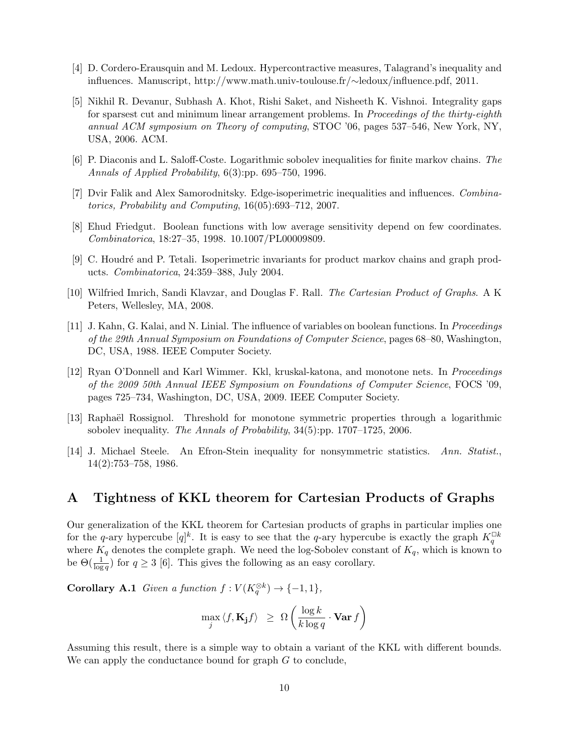- [4] D. Cordero-Erausquin and M. Ledoux. Hypercontractive measures, Talagrand's inequality and influences. Manuscript, http://www.math.univ-toulouse.fr/∼ledoux/influence.pdf, 2011.
- [5] Nikhil R. Devanur, Subhash A. Khot, Rishi Saket, and Nisheeth K. Vishnoi. Integrality gaps for sparsest cut and minimum linear arrangement problems. In Proceedings of the thirty-eighth annual ACM symposium on Theory of computing, STOC '06, pages 537–546, New York, NY, USA, 2006. ACM.
- [6] P. Diaconis and L. Saloff-Coste. Logarithmic sobolev inequalities for finite markov chains. The Annals of Applied Probability, 6(3):pp. 695–750, 1996.
- [7] Dvir Falik and Alex Samorodnitsky. Edge-isoperimetric inequalities and influences. Combinatorics, Probability and Computing, 16(05):693–712, 2007.
- [8] Ehud Friedgut. Boolean functions with low average sensitivity depend on few coordinates. Combinatorica, 18:27–35, 1998. 10.1007/PL00009809.
- [9] C. Houdr´e and P. Tetali. Isoperimetric invariants for product markov chains and graph products. Combinatorica, 24:359–388, July 2004.
- [10] Wilfried Imrich, Sandi Klavzar, and Douglas F. Rall. The Cartesian Product of Graphs. A K Peters, Wellesley, MA, 2008.
- [11] J. Kahn, G. Kalai, and N. Linial. The influence of variables on boolean functions. In Proceedings of the 29th Annual Symposium on Foundations of Computer Science, pages 68–80, Washington, DC, USA, 1988. IEEE Computer Society.
- [12] Ryan O'Donnell and Karl Wimmer. Kkl, kruskal-katona, and monotone nets. In Proceedings of the 2009 50th Annual IEEE Symposium on Foundations of Computer Science, FOCS '09, pages 725–734, Washington, DC, USA, 2009. IEEE Computer Society.
- [13] Raphaël Rossignol. Threshold for monotone symmetric properties through a logarithmic sobolev inequality. The Annals of Probability, 34(5):pp. 1707–1725, 2006.
- [14] J. Michael Steele. An Efron-Stein inequality for nonsymmetric statistics. Ann. Statist., 14(2):753–758, 1986.

### A Tightness of KKL theorem for Cartesian Products of Graphs

Our generalization of the KKL theorem for Cartesian products of graphs in particular implies one for the q-ary hypercube  $[q]^k$ . It is easy to see that the q-ary hypercube is exactly the graph  $K_q^{\Box k}$ where  $K_q$  denotes the complete graph. We need the log-Sobolev constant of  $K_q$ , which is known to be  $\Theta(\frac{1}{\log q})$  for  $q \geq 3$  [6]. This gives the following as an easy corollary.

**Corollary A.1** Given a function  $f: V(K_q^{\otimes k}) \to \{-1,1\},\$ 

$$
\max_{j} \langle f, \mathbf{K_j} f \rangle \geq \Omega \left( \frac{\log k}{k \log q} \cdot \mathbf{Var} f \right)
$$

Assuming this result, there is a simple way to obtain a variant of the KKL with different bounds. We can apply the conductance bound for graph G to conclude,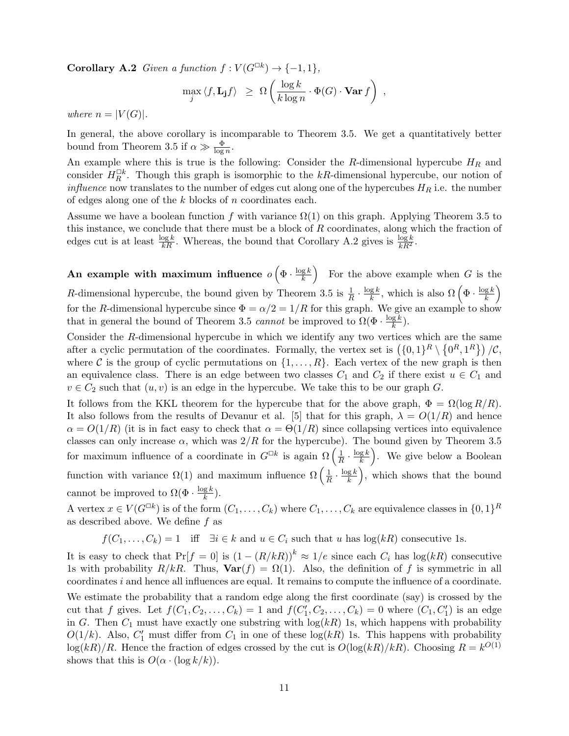**Corollary A.2** Given a function  $f: V(G^{\Box k}) \rightarrow \{-1, 1\},\$ 

$$
\max_{j} \langle f, \mathbf{L}_{\mathbf{j}} f \rangle \geq \Omega \left( \frac{\log k}{k \log n} \cdot \Phi(G) \cdot \mathbf{Var} f \right) ,
$$

where  $n = |V(G)|$ .

In general, the above corollary is incomparable to Theorem 3.5. We get a quantitatively better bound from Theorem 3.5 if  $\alpha \gg \frac{\Phi}{\log n}$ .

An example where this is true is the following: Consider the R-dimensional hypercube  $H_R$  and consider  $H_R^{\Box k}$ . Though this graph is isomorphic to the kR-dimensional hypercube, our notion of *influence* now translates to the number of edges cut along one of the hypercubes  $H_R$  i.e. the number of edges along one of the k blocks of n coordinates each.

Assume we have a boolean function f with variance  $\Omega(1)$  on this graph. Applying Theorem 3.5 to this instance, we conclude that there must be a block of  $R$  coordinates, along which the fraction of edges cut is at least  $\frac{\log k}{kR}$ . Whereas, the bound that Corollary A.2 gives is  $\frac{\log k}{kR^2}$ .

An example with maximum influence  $o\left(\Phi \cdot \frac{\log k}{k}\right)$  $\left(\frac{g k}{k}\right)$  For the above example when G is the R-dimensional hypercube, the bound given by Theorem 3.5 is  $\frac{1}{R} \cdot \frac{\log k}{k}$  $\frac{g k}{k}$ , which is also  $\Omega\left(\Phi \cdot \frac{\log k}{k}\right)$  $\left(\frac{g}{k}\right)$ for the R-dimensional hypercube since  $\Phi = \alpha/2 = 1/R$  for this graph. We give an example to show that in general the bound of Theorem 3.5 cannot be improved to  $\Omega(\Phi \cdot \frac{\log k}{k})$  $\frac{\mathbf{g}\,\kappa}{k}$ ).

Consider the R-dimensional hypercube in which we identify any two vertices which are the same after a cyclic permutation of the coordinates. Formally, the vertex set is  $(\{0,1\}^R \setminus \{0^R,1^R\})/\mathcal{C}$ , where C is the group of cyclic permutations on  $\{1, \ldots, R\}$ . Each vertex of the new graph is then an equivalence class. There is an edge between two classes  $C_1$  and  $C_2$  if there exist  $u \in C_1$  and  $v \in C_2$  such that  $(u, v)$  is an edge in the hypercube. We take this to be our graph G.

It follows from the KKL theorem for the hypercube that for the above graph,  $\Phi = \Omega(\log R/R)$ . It also follows from the results of Devanur et al. [5] that for this graph,  $\lambda = O(1/R)$  and hence  $\alpha = O(1/R)$  (it is in fact easy to check that  $\alpha = \Theta(1/R)$  since collapsing vertices into equivalence classes can only increase  $\alpha$ , which was  $2/R$  for the hypercube). The bound given by Theorem 3.5 for maximum influence of a coordinate in  $G^{\Box k}$  is again  $\Omega\left(\frac{1}{R}\right)$  $\frac{1}{R} \cdot \frac{\log k}{k}$  $(\frac{g k}{k})$ . We give below a Boolean function with variance  $\Omega(1)$  and maximum influence  $\Omega\left(\frac{1}{R}\right)$  $\frac{1}{R} \cdot \frac{\log k}{k}$  $(\frac{g k}{k})$ , which shows that the bound cannot be improved to  $\Omega(\Phi \cdot \frac{\log k}{k})$  $\frac{g k}{k}$ ).

A vertex  $x \in V(G^{\Box k})$  is of the form  $(C_1, \ldots, C_k)$  where  $C_1, \ldots, C_k$  are equivalence classes in  $\{0,1\}^R$ as described above. We define  $f$  as

 $f(C_1, \ldots, C_k) = 1$  iff  $\exists i \in k$  and  $u \in C_i$  such that u has  $\log(kR)$  consecutive 1s.

It is easy to check that  $Pr[f = 0]$  is  $(1 - (R/kR))^k \approx 1/e$  since each  $C_i$  has  $log(kR)$  consecutive 1s with probability  $R/kR$ . Thus,  $\text{Var}(f) = \Omega(1)$ . Also, the definition of f is symmetric in all coordinates i and hence all influences are equal. It remains to compute the influence of a coordinate.

We estimate the probability that a random edge along the first coordinate (say) is crossed by the cut that f gives. Let  $f(C_1, C_2, ..., C_k) = 1$  and  $f(C'_1, C_2, ..., C_k) = 0$  where  $(C_1, C'_1)$  is an edge in G. Then  $C_1$  must have exactly one substring with  $log(kR)$  1s, which happens with probability  $O(1/k)$ . Also,  $C'_1$  must differ from  $C_1$  in one of these  $log(kR)$  1s. This happens with probability  $\log(kR)/R$ . Hence the fraction of edges crossed by the cut is  $O(\log(kR)/kR)$ . Choosing  $R = k^{O(1)}$ shows that this is  $O(\alpha \cdot (\log k/k)).$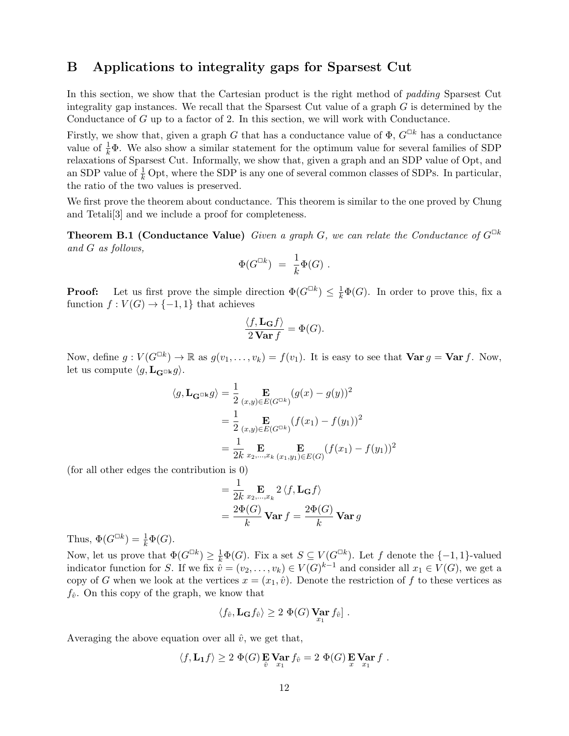## B Applications to integrality gaps for Sparsest Cut

In this section, we show that the Cartesian product is the right method of *padding* Sparsest Cut integrality gap instances. We recall that the Sparsest Cut value of a graph G is determined by the Conductance of G up to a factor of 2. In this section, we will work with Conductance.

Firstly, we show that, given a graph G that has a conductance value of  $\Phi$ ,  $G^{\Box k}$  has a conductance value of  $\frac{1}{k}\Phi$ . We also show a similar statement for the optimum value for several families of SDP relaxations of Sparsest Cut. Informally, we show that, given a graph and an SDP value of Opt, and an SDP value of  $\frac{1}{k}$  Opt, where the SDP is any one of several common classes of SDPs. In particular, the ratio of the two values is preserved.

We first prove the theorem about conductance. This theorem is similar to the one proved by Chung and Tetali[3] and we include a proof for completeness.

**Theorem B.1 (Conductance Value)** Given a graph G, we can relate the Conductance of  $G^{\Box k}$ and G as follows,

$$
\Phi(G^{\Box k})\ =\ \frac{1}{k}\Phi(G)\ .
$$

**Proof:** Let us first prove the simple direction  $\Phi(G^{\Box k}) \leq \frac{1}{k}\Phi(G)$ . In order to prove this, fix a function  $f: V(G) \to \{-1,1\}$  that achieves

$$
\frac{\langle f, \mathbf{L}_{\mathbf{G}} f \rangle}{2 \operatorname{Var} f} = \Phi(G).
$$

Now, define  $g: V(G^{\square k}) \to \mathbb{R}$  as  $g(v_1,\ldots,v_k) = f(v_1)$ . It is easy to see that  $\textbf{Var } g = \textbf{Var } f$ . Now, let us compute  $\langle g, \mathbf{L}_{\mathbf{G}^{\Box k}} g \rangle$ .

$$
\langle g, \mathbf{L}_{\mathbf{G}^{\Box k}} g \rangle = \frac{1}{2} \mathop{\mathbf{E}}_{(x,y) \in E(G^{\Box k})} (g(x) - g(y))^2
$$
  
= 
$$
\frac{1}{2} \mathop{\mathbf{E}}_{(x,y) \in E(G^{\Box k})} (f(x_1) - f(y_1))^2
$$
  
= 
$$
\frac{1}{2k} \mathop{\mathbf{E}}_{x_2, \dots, x_k} \mathop{\mathbf{E}}_{(x_1, y_1) \in E(G)} (f(x_1) - f(y_1))^2
$$

(for all other edges the contribution is 0)

$$
= \frac{1}{2k} \mathop{\mathbf{E}}_{x_2,\dots,x_k} 2 \langle f, \mathbf{L}_{\mathbf{G}} f \rangle
$$
  
= 
$$
\frac{2\Phi(G)}{k} \mathbf{Var} f = \frac{2\Phi(G)}{k} \mathbf{Var} g
$$

Thus,  $\Phi(G^{\Box k}) = \frac{1}{k}\Phi(G)$ .

Now, let us prove that  $\Phi(G^{\Box k}) \geq \frac{1}{k} \Phi(G)$ . Fix a set  $S \subseteq V(G^{\Box k})$ . Let f denote the  $\{-1,1\}$ -valued indicator function for S. If we fix  $\tilde{v} = (v_2, \ldots, v_k) \in V(G)^{k-1}$  and consider all  $x_1 \in V(G)$ , we get a copy of G when we look at the vertices  $x = (x_1, \hat{v})$ . Denote the restriction of f to these vertices as  $f_{\hat{v}}$ . On this copy of the graph, we know that

$$
\langle f_{\hat{v}}, \mathbf{L}_{\mathbf{G}} f_{\hat{v}} \rangle \geq 2 \ \Phi(G) \ \mathbf{Var} f_{\hat{v}} \, .
$$

Averaging the above equation over all  $\hat{v}$ , we get that,

$$
\langle f, \mathbf{L_1} f \rangle \geq 2 \Phi(G) \mathbf{E} \mathbf{Var} f_{\hat{v}} = 2 \Phi(G) \mathbf{E} \mathbf{Var} f.
$$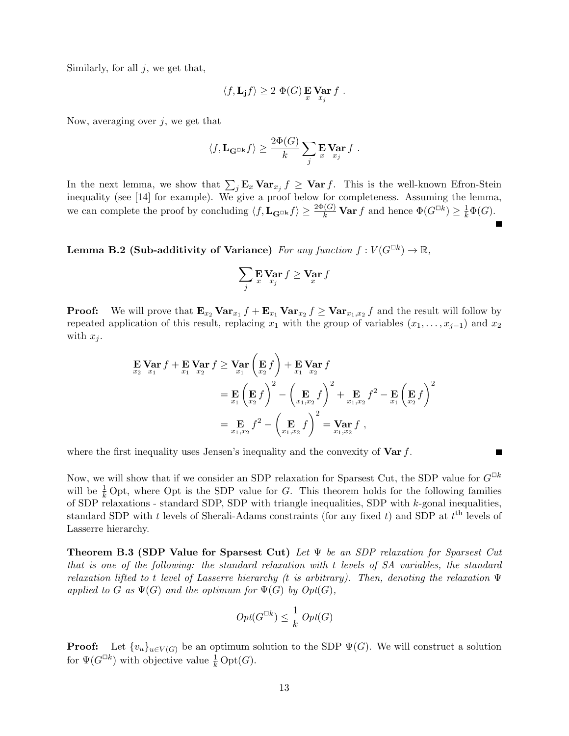Similarly, for all  $j$ , we get that,

$$
\langle f, \mathbf{L}_{\mathbf{j}} f \rangle \geq 2 \; \Phi(G) \mathop{\mathbf{E}}_{x} \mathop{\mathbf{Var}}_{x_j} f \; .
$$

Now, averaging over  $j$ , we get that

$$
\langle f, \mathbf{L}_{\mathbf{G}^{\Box k}} f \rangle \geq \frac{2\Phi(G)}{k} \sum_j \mathbf{E} \operatorname*{Var}_{x_j} f.
$$

In the next lemma, we show that  $\sum_j \mathbf{E}_x \mathbf{Var}_{x_j} f \geq \mathbf{Var} f$ . This is the well-known Efron-Stein inequality (see [14] for example). We give a proof below for completeness. Assuming the lemma, we can complete the proof by concluding  $\langle f, \mathbf{L}_{\mathbf{G}^{\Box k}} f \rangle \ge \frac{2\Phi(G)}{k} \textbf{Var} f$  and hence  $\Phi(G^{\Box k}) \ge \frac{1}{k} \Phi(G)$ .

Lemma B.2 (Sub-additivity of Variance) For any function  $f: V(G^{\Box k}) \to \mathbb{R}$ ,

$$
\sum_j \mathop{\mathbf{E}}_{x} \mathop{\mathbf{Var}}_{x_j} f \geq \mathop{\mathbf{Var}}_{x} f
$$

**Proof:** We will prove that  $\mathbf{E}_{x_2} \mathbf{Var}_{x_1} f + \mathbf{E}_{x_1} \mathbf{Var}_{x_2} f \ge \mathbf{Var}_{x_1,x_2} f$  and the result will follow by repeated application of this result, replacing  $x_1$  with the group of variables  $(x_1, \ldots, x_{j-1})$  and  $x_2$ with  $x_j$ .

$$
\begin{aligned} \mathbf{E} \operatorname{Var} f &+ \mathbf{E} \operatorname{Var} f &\ge \operatorname{Var} \left( \mathbf{E} f \right) + \mathbf{E} \operatorname{Var} f \\ &= \mathbf{E} \left( \mathbf{E} f \right)^2 - \left( \mathbf{E} f \right)^2 + \mathbf{E} \operatorname{Var} f \\ &= \mathbf{E} \left( \mathbf{E} f \right)^2 - \left( \mathbf{E} f \right)^2 + \mathbf{E} f^2 - \mathbf{E} \left( \mathbf{E} f \right)^2 \\ &= \mathbf{E} \operatorname{Var} f^2 - \left( \mathbf{E} f \right)^2 = \operatorname{Var} f, \end{aligned}
$$

where the first inequality uses Jensen's inequality and the convexity of  $\text{Var } f$ .

Now, we will show that if we consider an SDP relaxation for Sparsest Cut, the SDP value for  $G^{\Box k}$ will be  $\frac{1}{k}$  Opt, where Opt is the SDP value for G. This theorem holds for the following families of SDP relaxations - standard SDP, SDP with triangle inequalities, SDP with k-gonal inequalities, standard SDP with t levels of Sherali-Adams constraints (for any fixed t) and SDP at  $t<sup>th</sup>$  levels of Lasserre hierarchy.

П

**Theorem B.3 (SDP Value for Sparsest Cut)** Let  $\Psi$  be an SDP relaxation for Sparsest Cut that is one of the following: the standard relaxation with t levels of SA variables, the standard relaxation lifted to t level of Lasserre hierarchy (t is arbitrary). Then, denoting the relaxation  $\Psi$ applied to G as  $\Psi(G)$  and the optimum for  $\Psi(G)$  by  $Opt(G)$ ,

$$
Opt(G^{\square k})\leq \frac{1}{k} \ Opt(G)
$$

**Proof:** Let  $\{v_u\}_{u\in V(G)}$  be an optimum solution to the SDP  $\Psi(G)$ . We will construct a solution for  $\Psi(G^{\Box k})$  with objective value  $\frac{1}{k} \text{Opt}(G)$ .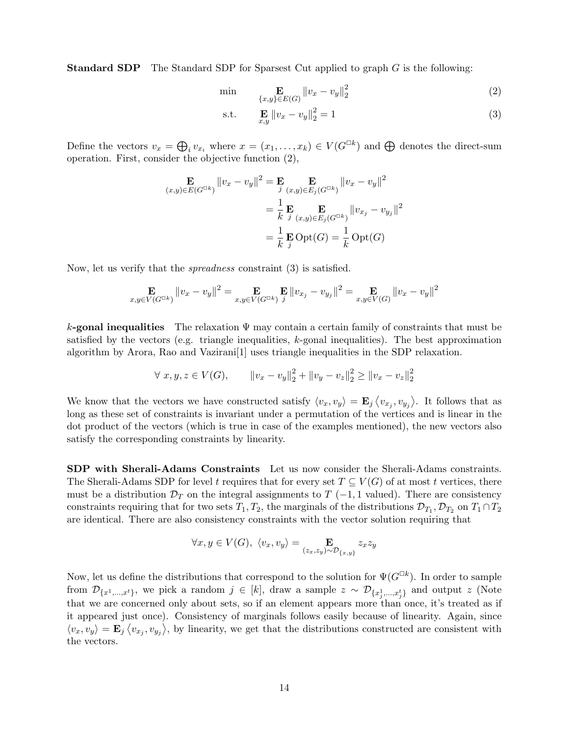**Standard SDP** The Standard SDP for Sparsest Cut applied to graph G is the following:

$$
\min \qquad \mathbf{E} \qquad \qquad \mathbf{E}(x, y) \in E(G)} \|v_x - v_y\|_2^2 \tag{2}
$$

$$
\text{s.t.} \qquad \mathbf{E} \, \|v_x - v_y\|_2^2 = 1 \tag{3}
$$

Define the vectors  $v_x = \bigoplus_i v_{x_i}$  where  $x = (x_1, \ldots, x_k) \in V(G^{\square k})$  and  $\bigoplus$  denotes the direct-sum operation. First, consider the objective function (2),

$$
\mathbf{E}_{(x,y)\in E(G^{\Box k})} ||v_x - v_y||^2 = \mathbf{E}_{j} \mathbf{E}_{(x,y)\in E_j(G^{\Box k})} ||v_x - v_y||^2
$$
  
=  $\frac{1}{k} \mathbf{E}_{j} \mathbf{E}_{(x,y)\in E_j(G^{\Box k})} ||v_{x_j} - v_{y_j}||^2$   
=  $\frac{1}{k} \mathbf{E}_{j} \text{Opt}(G) = \frac{1}{k} \text{Opt}(G)$ 

Now, let us verify that the spreadness constraint (3) is satisfied.

$$
\mathop{\mathbf{E}}_{x,y \in V(G^{\Box k})} \|v_x - v_y\|^2 = \mathop{\mathbf{E}}_{x,y \in V(G^{\Box k})} \mathop{\mathbf{E}}_{j} \|v_{x_j} - v_{y_j}\|^2 = \mathop{\mathbf{E}}_{x,y \in V(G)} \|v_x - v_y\|^2
$$

k-gonal inequalities The relaxation  $\Psi$  may contain a certain family of constraints that must be satisfied by the vectors (e.g. triangle inequalities, k-gonal inequalities). The best approximation algorithm by Arora, Rao and Vazirani[1] uses triangle inequalities in the SDP relaxation.

$$
\forall x, y, z \in V(G), \qquad \|v_x - v_y\|_2^2 + \|v_y - v_z\|_2^2 \ge \|v_x - v_z\|_2^2
$$

We know that the vectors we have constructed satisfy  $\langle v_x, v_y \rangle = \mathbf{E}_j \langle v_{x_j}, v_{y_j} \rangle$ . It follows that as long as these set of constraints is invariant under a permutation of the vertices and is linear in the dot product of the vectors (which is true in case of the examples mentioned), the new vectors also satisfy the corresponding constraints by linearity.

SDP with Sherali-Adams Constraints Let us now consider the Sherali-Adams constraints. The Sherali-Adams SDP for level t requires that for every set  $T \subseteq V(G)$  of at most t vertices, there must be a distribution  $\mathcal{D}_T$  on the integral assignments to  $T$  (-1, 1 valued). There are consistency constraints requiring that for two sets  $T_1, T_2$ , the marginals of the distributions  $\mathcal{D}_{T_1}, \mathcal{D}_{T_2}$  on  $T_1 \cap T_2$ are identical. There are also consistency constraints with the vector solution requiring that

$$
\forall x, y \in V(G), \ \langle v_x, v_y \rangle = \mathop{\mathbf{E}}_{(z_x, z_y) \sim \mathcal{D}_{\{x, y\}}} z_x z_y
$$

Now, let us define the distributions that correspond to the solution for  $\Psi(G^{\Box k})$ . In order to sample from  $\mathcal{D}_{\{x^1,\dots,x^t\}}$ , we pick a random  $j \in [k]$ , draw a sample  $z \sim \mathcal{D}_{\{x^1_j,\dots,x^t_j\}}$  and output z (Note that we are concerned only about sets, so if an element appears more than once, it's treated as if it appeared just once). Consistency of marginals follows easily because of linearity. Again, since  $\langle v_x, v_y \rangle = \mathbf{E}_j \langle v_{x_j}, v_{y_j} \rangle$ , by linearity, we get that the distributions constructed are consistent with the vectors.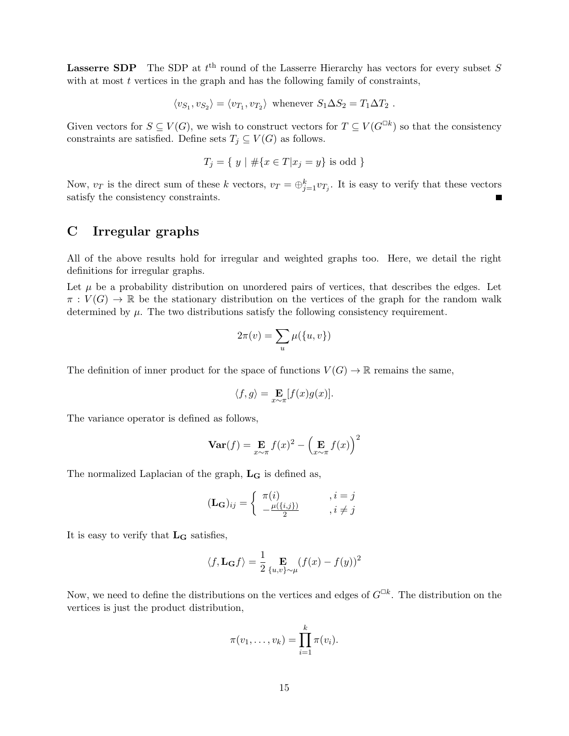**Lasserre SDP** The SDP at  $t^{\text{th}}$  round of the Lasserre Hierarchy has vectors for every subset S with at most  $t$  vertices in the graph and has the following family of constraints,

$$
\langle v_{S_1}, v_{S_2} \rangle = \langle v_{T_1}, v_{T_2} \rangle
$$
 whenever  $S_1 \Delta S_2 = T_1 \Delta T_2$ .

Given vectors for  $S \subseteq V(G)$ , we wish to construct vectors for  $T \subseteq V(G^{\Box k})$  so that the consistency constraints are satisfied. Define sets  $T_j \subseteq V(G)$  as follows.

$$
T_j = \{ y \mid # \{ x \in T | x_j = y \} \text{ is odd } \}
$$

Now,  $v_T$  is the direct sum of these k vectors,  $v_T = \bigoplus_{j=1}^k v_{T_j}$ . It is easy to verify that these vectors satisfy the consistency constraints. Е

# C Irregular graphs

All of the above results hold for irregular and weighted graphs too. Here, we detail the right definitions for irregular graphs.

Let  $\mu$  be a probability distribution on unordered pairs of vertices, that describes the edges. Let  $\pi: V(G) \to \mathbb{R}$  be the stationary distribution on the vertices of the graph for the random walk determined by  $\mu$ . The two distributions satisfy the following consistency requirement.

$$
2\pi(v) = \sum_{u} \mu(\{u, v\})
$$

The definition of inner product for the space of functions  $V(G) \to \mathbb{R}$  remains the same,

$$
\langle f, g \rangle = \mathop{\mathbf{E}}_{x \sim \pi} [f(x)g(x)].
$$

The variance operator is defined as follows,

$$
\mathbf{Var}(f) = \mathop{\mathbf{E}}_{x \sim \pi} f(x)^2 - \left(\mathop{\mathbf{E}}_{x \sim \pi} f(x)\right)^2
$$

The normalized Laplacian of the graph,  $L_G$  is defined as,

$$
(\mathbf{L}_{\mathbf{G}})_{ij} = \begin{cases} \pi(i) & , i = j \\ -\frac{\mu(\{i,j\})}{2} & , i \neq j \end{cases}
$$

It is easy to verify that  $L_G$  satisfies,

$$
\langle f, \mathbf{L}_{\mathbf{G}} f \rangle = \frac{1}{2} \mathop{\mathbf{E}}_{\{u,v\} \sim \mu} (f(x) - f(y))^2
$$

Now, we need to define the distributions on the vertices and edges of  $G^{\Box k}$ . The distribution on the vertices is just the product distribution,

$$
\pi(v_1,\ldots,v_k)=\prod_{i=1}^k \pi(v_i).
$$